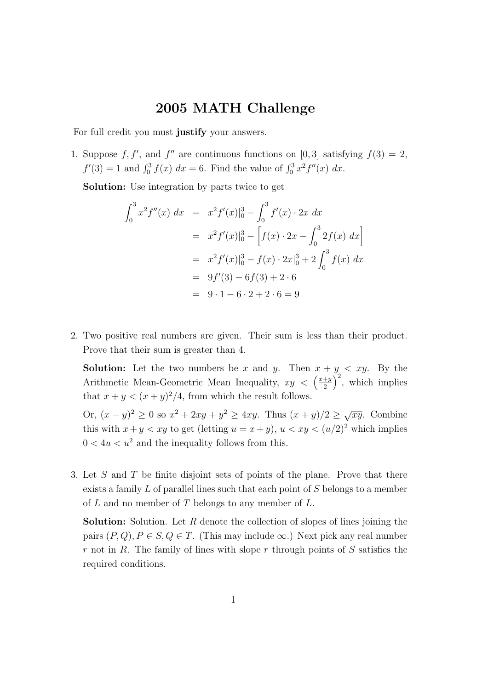## 2005 MATH Challenge

For full credit you must justify your answers.

1. Suppose f, f', and f'' are continuous functions on [0,3] satisfying  $f(3) = 2$ ,  $f'(3) = 1$  and  $\int_0^3 f(x) dx = 6$ . Find the value of  $\int_0^3 x^2 f''(x) dx$ .

Solution: Use integration by parts twice to get

$$
\int_0^3 x^2 f''(x) dx = x^2 f'(x)|_0^3 - \int_0^3 f'(x) \cdot 2x dx
$$
  
=  $x^2 f'(x)|_0^3 - \left[ f(x) \cdot 2x - \int_0^3 2f(x) dx \right]$   
=  $x^2 f'(x)|_0^3 - f(x) \cdot 2x|_0^3 + 2 \int_0^3 f(x) dx$   
=  $9f'(3) - 6f(3) + 2 \cdot 6$   
=  $9 \cdot 1 - 6 \cdot 2 + 2 \cdot 6 = 9$ 

2. Two positive real numbers are given. Their sum is less than their product. Prove that their sum is greater than 4.

**Solution:** Let the two numbers be x and y. Then  $x + y < xy$ . By the Arithmetic Mean-Geometric Mean Inequality,  $xy < \left(\frac{x+y}{2}\right)$ 2  $\int_{0}^{2}$ , which implies that  $x + y < (x + y)^2/4$ , from which the result follows.

Or,  $(x - y)^2 \ge 0$  so  $x^2 + 2xy + y^2 \ge 4xy$ . Thus  $(x + y)/2 \ge \sqrt{xy}$ . Combine this with  $x + y < xy$  to get (letting  $u = x + y$ ),  $u < xy < (u/2)^2$  which implies  $0 < 4u < u<sup>2</sup>$  and the inequality follows from this.

3. Let S and T be finite disjoint sets of points of the plane. Prove that there exists a family L of parallel lines such that each point of S belongs to a member of  $L$  and no member of  $T$  belongs to any member of  $L$ .

**Solution:** Solution. Let  $R$  denote the collection of slopes of lines joining the pairs  $(P,Q), P \in S, Q \in T$ . (This may include  $\infty$ .) Next pick any real number  $r$  not in R. The family of lines with slope  $r$  through points of  $S$  satisfies the required conditions.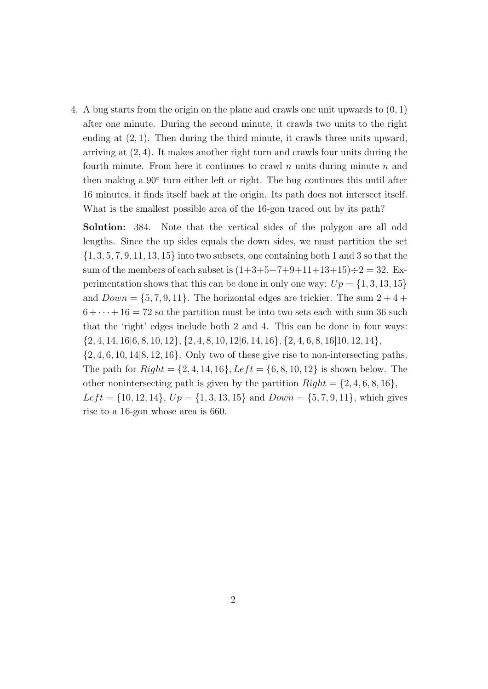4. A bug starts from the origin on the plane and crawls one unit upwards to (0, 1) after one minute. During the second minute, it crawls two units to the right ending at (2, 1). Then during the third minute, it crawls three units upward, arriving at  $(2, 4)$ . It makes another right turn and crawls four units during the fourth minute. From here it continues to crawl n units during minute  $n$  and then making a  $90°$  turn either left or right. The bug continues this until after 16 minutes, it finds itself back at the origin. Its path does not intersect itself. What is the smallest possible area of the 16-gon traced out by its path?

Solution: 384. Note that the vertical sides of the polygon are all odd lengths. Since the up sides equals the down sides, we must partition the set  $\{1, 3, 5, 7, 9, 11, 13, 15\}$  into two subsets, one containing both 1 and 3 so that the sum of the members of each subset is  $(1+3+5+7+9+11+13+15) \div 2 = 32$ . Experimentation shows that this can be done in only one way:  $Up = \{1, 3, 13, 15\}$ and  $Down = \{5, 7, 9, 11\}$ . The horizontal edges are trickier. The sum  $2 + 4 +$  $6 + \cdots + 16 = 72$  so the partition must be into two sets each with sum 36 such that the 'right' edges include both 2 and 4. This can be done in four ways:  $\{2, 4, 14, 16|6, 8, 10, 12\}, \{2, 4, 8, 10, 12|6, 14, 16\}, \{2, 4, 6, 8, 16|10, 12, 14\},\$  $\{2, 4, 6, 10, 14|8, 12, 16\}$ . Only two of these give rise to non-intersecting paths. The path for  $Right = \{2, 4, 14, 16\}, Left = \{6, 8, 10, 12\}$  is shown below. The other nonintersecting path is given by the partition  $Right = \{2, 4, 6, 8, 16\},\$  $Left = \{10, 12, 14\}, Up = \{1, 3, 13, 15\}$  and  $Down = \{5, 7, 9, 11\}$ , which gives rise to a 16-gon whose area is 660.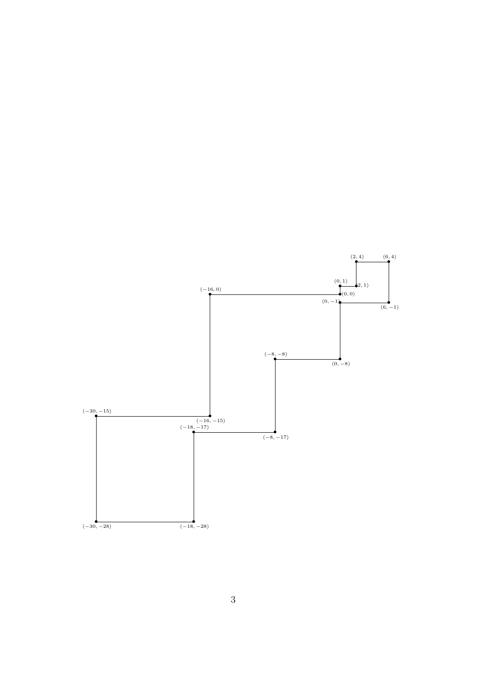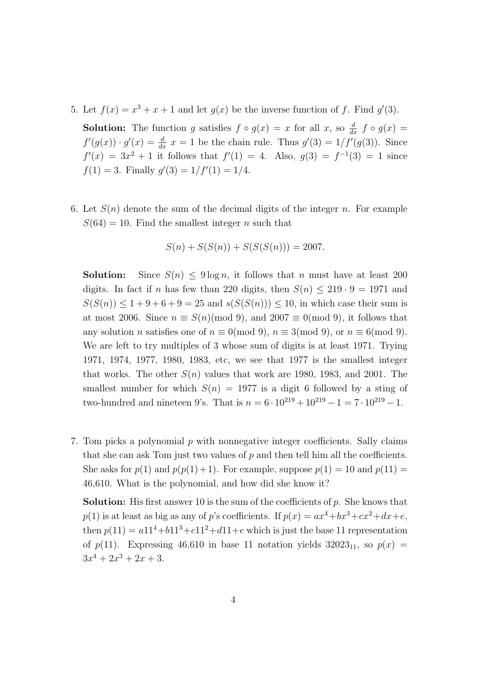5. Let  $f(x) = x^3 + x + 1$  and let  $g(x)$  be the inverse function of f. Find  $g'(3)$ .

**Solution:** The function g satisfies  $f \circ g(x) = x$  for all  $x$ , so  $\frac{d}{dx} f \circ g(x) =$  $f'(g(x)) \cdot g'(x) = \frac{d}{dx} x = 1$  be the chain rule. Thus  $g'(3) = 1/f'(g(3))$ . Since  $f'(x) = 3x^2 + 1$  it follows that  $f'(1) = 4$ . Also,  $g(3) = f^{-1}(3) = 1$  since  $f(1) = 3$ . Finally  $g'(3) = 1/f'(1) = 1/4$ .

6. Let  $S(n)$  denote the sum of the decimal digits of the integer n. For example  $S(64) = 10$ . Find the smallest integer *n* such that

$$
S(n) + S(S(n)) + S(S(S(n))) = 2007.
$$

**Solution:** Since  $S(n) \leq 9 \log n$ , it follows that n must have at least 200 digits. In fact if n has few than 220 digits, then  $S(n) \leq 219 \cdot 9 = 1971$  and  $S(S(n)) \leq 1 + 9 + 6 + 9 = 25$  and  $s(S(S(n))) \leq 10$ , in which case their sum is at most 2006. Since  $n \equiv S(n) \pmod{9}$ , and  $2007 \equiv 0 \pmod{9}$ , it follows that any solution n satisfies one of  $n \equiv 0 \pmod{9}$ ,  $n \equiv 3 \pmod{9}$ , or  $n \equiv 6 \pmod{9}$ . We are left to try multiples of 3 whose sum of digits is at least 1971. Trying 1971, 1974, 1977, 1980, 1983, etc, we see that 1977 is the smallest integer that works. The other  $S(n)$  values that work are 1980, 1983, and 2001. The smallest number for which  $S(n) = 1977$  is a digit 6 followed by a sting of two-hundred and nineteen 9's. That is  $n = 6 \cdot 10^{219} + 10^{219} - 1 = 7 \cdot 10^{219} - 1$ .

7. Tom picks a polynomial  $p$  with nonnegative integer coefficients. Sally claims that she can ask Tom just two values of  $p$  and then tell him all the coefficients. She asks for  $p(1)$  and  $p(p(1)+1)$ . For example, suppose  $p(1) = 10$  and  $p(11) =$ 46,610. What is the polynomial, and how did she know it?

Solution: His first answer 10 is the sum of the coefficients of p. She knows that  $p(1)$  is at least as big as any of p's coefficients. If  $p(x) = ax^4 + bx^3 + cx^2 + dx + e$ , then  $p(11) = a11^4 + b11^3 + c11^2 + d11 + e$  which is just the base 11 representation of  $p(11)$ . Expressing 46,610 in base 11 notation yields  $32023_{11}$ , so  $p(x)$  =  $3x^4 + 2x^3 + 2x + 3$ .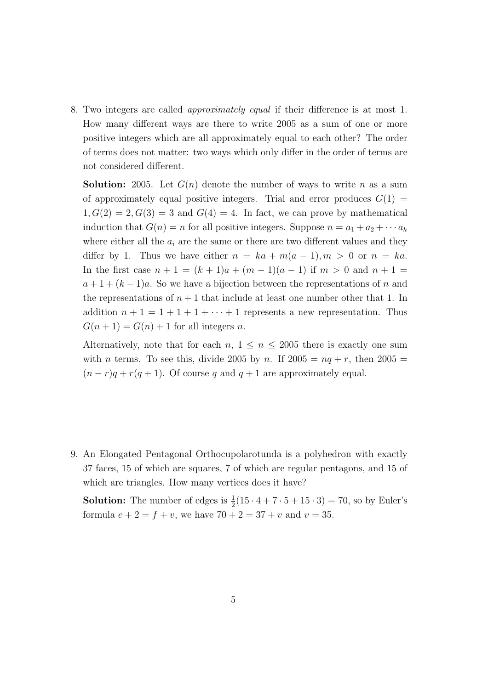8. Two integers are called approximately equal if their difference is at most 1. How many different ways are there to write 2005 as a sum of one or more positive integers which are all approximately equal to each other? The order of terms does not matter: two ways which only differ in the order of terms are not considered different.

**Solution:** 2005. Let  $G(n)$  denote the number of ways to write n as a sum of approximately equal positive integers. Trial and error produces  $G(1) =$  $1, G(2) = 2, G(3) = 3$  and  $G(4) = 4$ . In fact, we can prove by mathematical induction that  $G(n) = n$  for all positive integers. Suppose  $n = a_1 + a_2 + \cdots + a_k$ where either all the  $a_i$  are the same or there are two different values and they differ by 1. Thus we have either  $n = ka + m(a - 1), m > 0$  or  $n = ka$ . In the first case  $n + 1 = (k + 1)a + (m - 1)(a - 1)$  if  $m > 0$  and  $n + 1 =$  $a+1+(k-1)a$ . So we have a bijection between the representations of n and the representations of  $n+1$  that include at least one number other that 1. In addition  $n + 1 = 1 + 1 + 1 + \cdots + 1$  represents a new representation. Thus  $G(n + 1) = G(n) + 1$  for all integers n.

Alternatively, note that for each  $n, 1 \leq n \leq 2005$  there is exactly one sum with *n* terms. To see this, divide 2005 by *n*. If  $2005 = nq + r$ , then  $2005 =$  $(n - r)q + r(q + 1)$ . Of course q and  $q + 1$  are approximately equal.

9. An Elongated Pentagonal Orthocupolarotunda is a polyhedron with exactly 37 faces, 15 of which are squares, 7 of which are regular pentagons, and 15 of which are triangles. How many vertices does it have?

**Solution:** The number of edges is  $\frac{1}{2}(15 \cdot 4 + 7 \cdot 5 + 15 \cdot 3) = 70$ , so by Euler's formula  $e + 2 = f + v$ , we have  $70 + 2 = 37 + v$  and  $v = 35$ .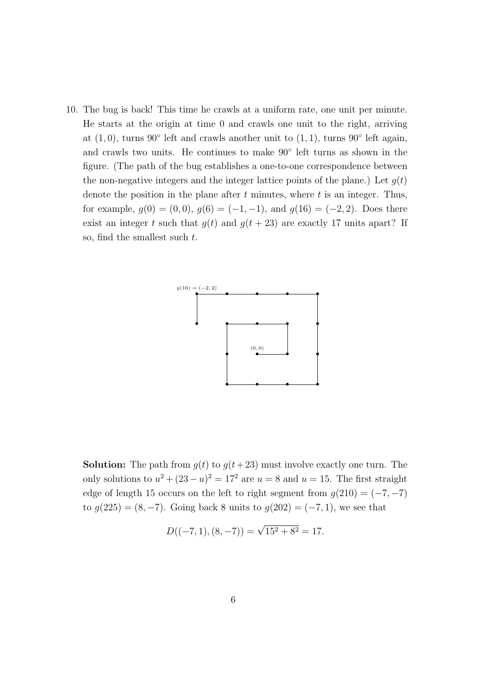10. The bug is back! This time he crawls at a uniform rate, one unit per minute. He starts at the origin at time 0 and crawls one unit to the right, arriving at  $(1,0)$ , turns 90° left and crawls another unit to  $(1,1)$ , turns 90° left again, and crawls two units. He continues to make 90◦ left turns as shown in the figure. (The path of the bug establishes a one-to-one correspondence between the non-negative integers and the integer lattice points of the plane.) Let  $q(t)$ denote the position in the plane after  $t$  minutes, where  $t$  is an integer. Thus, for example,  $g(0) = (0,0), g(6) = (-1,-1),$  and  $g(16) = (-2,2)$ . Does there exist an integer t such that  $g(t)$  and  $g(t + 23)$  are exactly 17 units apart? If so, find the smallest such  $t$ .



**Solution:** The path from  $g(t)$  to  $g(t+23)$  must involve exactly one turn. The only solutions to  $u^2 + (23 - u)^2 = 17^2$  are  $u = 8$  and  $u = 15$ . The first straight edge of length 15 occurs on the left to right segment from  $g(210) = (-7, -7)$ to  $g(225) = (8, -7)$ . Going back 8 units to  $g(202) = (-7, 1)$ , we see that

$$
D((-7,1), (8,-7)) = \sqrt{15^2 + 8^2} = 17.
$$